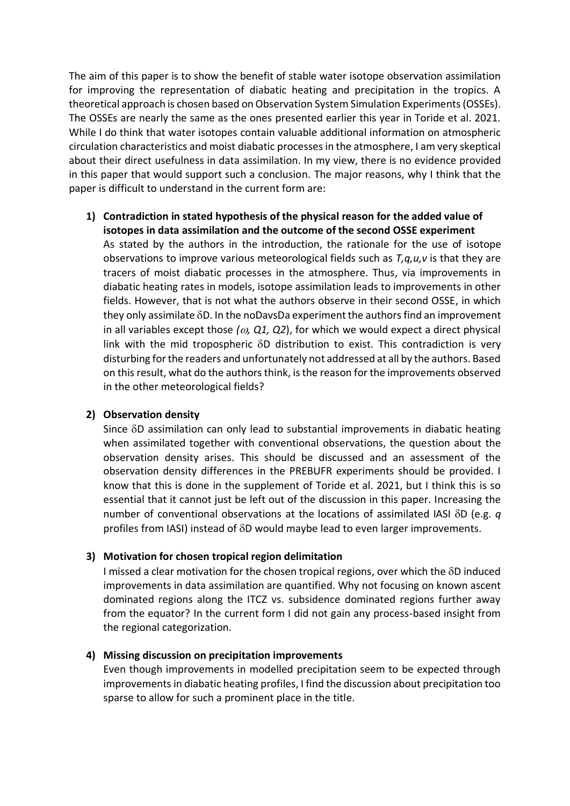The aim of this paper is to show the benefit of stable water isotope observation assimilation for improving the representation of diabatic heating and precipitation in the tropics. A theoretical approach is chosen based on Observation System Simulation Experiments(OSSEs). The OSSEs are nearly the same as the ones presented earlier this year in Toride et al. 2021. While I do think that water isotopes contain valuable additional information on atmospheric circulation characteristics and moist diabatic processes in the atmosphere, I am very skeptical about their direct usefulness in data assimilation. In my view, there is no evidence provided in this paper that would support such a conclusion. The major reasons, why I think that the paper is difficult to understand in the current form are:

**1) Contradiction in stated hypothesis of the physical reason for the added value of isotopes in data assimilation and the outcome of the second OSSE experiment** As stated by the authors in the introduction, the rationale for the use of isotope observations to improve various meteorological fields such as *T,q,u,v* is that they are tracers of moist diabatic processes in the atmosphere. Thus, via improvements in diabatic heating rates in models, isotope assimilation leads to improvements in other fields. However, that is not what the authors observe in their second OSSE, in which they only assimilate  $\delta D$ . In the noDavsDa experiment the authors find an improvement in all variables except those  $(a, Q1, Q2)$ , for which we would expect a direct physical link with the mid tropospheric  $\delta D$  distribution to exist. This contradiction is very disturbing for the readers and unfortunately not addressed at all by the authors. Based on this result, what do the authors think, is the reason for the improvements observed in the other meteorological fields?

## **2) Observation density**

Since  $\delta$ D assimilation can only lead to substantial improvements in diabatic heating when assimilated together with conventional observations, the question about the observation density arises. This should be discussed and an assessment of the observation density differences in the PREBUFR experiments should be provided. I know that this is done in the supplement of Toride et al. 2021, but I think this is so essential that it cannot just be left out of the discussion in this paper. Increasing the number of conventional observations at the locations of assimilated IASI  $\delta$ D (e.g. *q* profiles from IASI) instead of  $\delta D$  would maybe lead to even larger improvements.

## **3) Motivation for chosen tropical region delimitation**

I missed a clear motivation for the chosen tropical regions, over which the  $\delta D$  induced improvements in data assimilation are quantified. Why not focusing on known ascent dominated regions along the ITCZ vs. subsidence dominated regions further away from the equator? In the current form I did not gain any process-based insight from the regional categorization.

## **4) Missing discussion on precipitation improvements**

Even though improvements in modelled precipitation seem to be expected through improvements in diabatic heating profiles, I find the discussion about precipitation too sparse to allow for such a prominent place in the title.